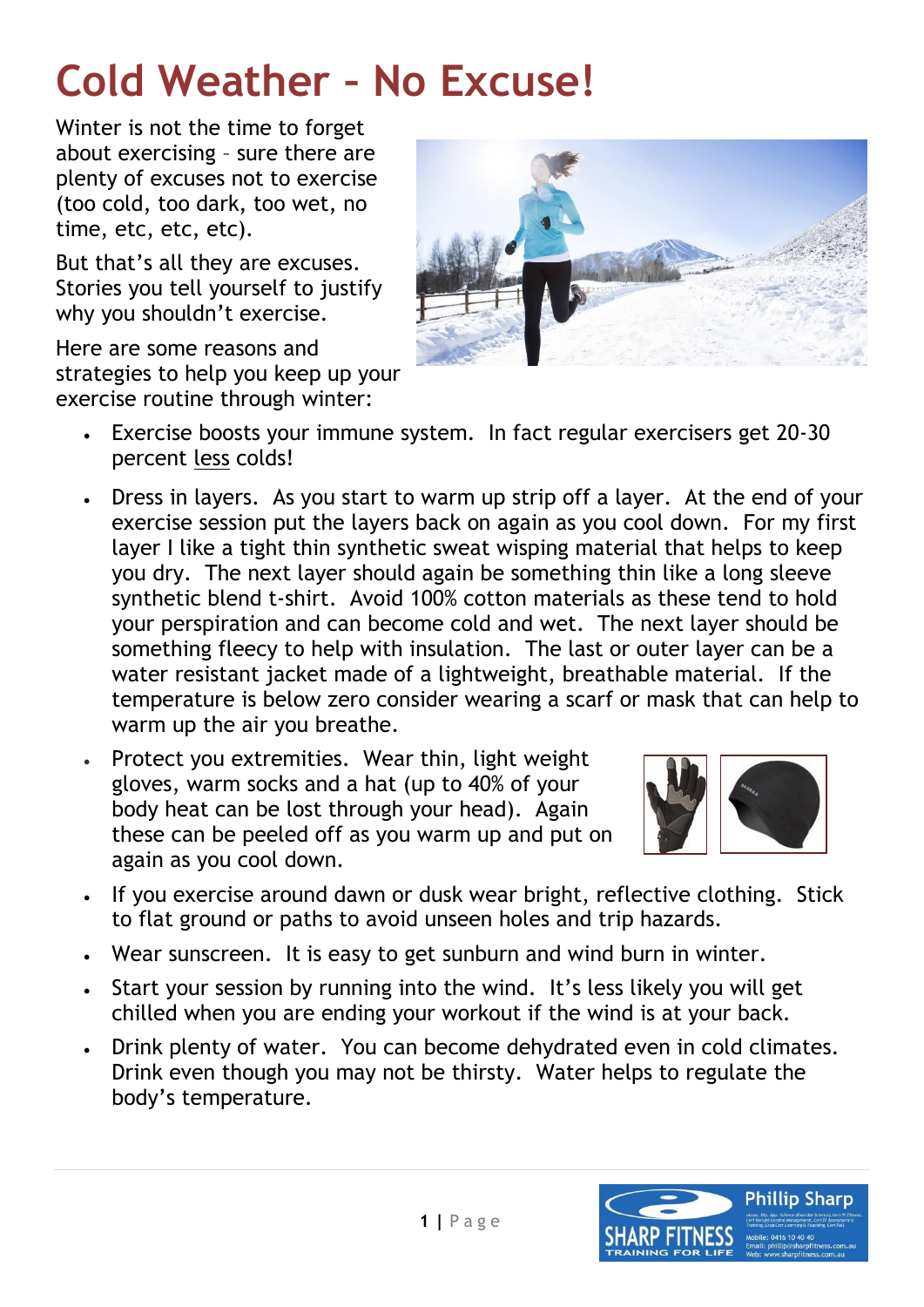## **[Cold Weather](http://mothersdayclassic.com.au/galleries/mothers-day-classic-2009) – No Excuse!**

Winter is not the time to forget about exercising – sure there are plenty of excuses not to exercise (too cold, too dark, too wet, no time, etc, etc, etc).

But that's all they are excuses. Stories you tell yourself to justify why you shouldn't exercise.

Here are some reasons and strategies to help you keep up your exercise routine through winter:



- Exercise boosts your immune system. In fact regular exercisers get 20-30 percent less colds!
- Dress in layers. As you start to warm up strip off a layer. At the end of your exercise session put the layers back on again as you cool down. For my first layer I like a tight thin synthetic sweat wisping material that helps to keep you dry. The next layer should again be something thin like a long sleeve synthetic blend t-shirt. Avoid 100% cotton materials as these tend to hold your perspiration and can become cold and wet. The next layer should be something fleecy to help with insulation. The last or outer layer can be a water resistant jacket made of a lightweight, breathable material. If the temperature is below zero consider wearing a scarf or mask that can help to warm up the air you breathe.
- Protect you extremities. Wear thin, light weight gloves, warm socks and a hat (up to 40% of your body heat can be lost through your head). Again these can be peeled off as you warm up and put on again as you cool down.



- If you exercise around dawn or dusk wear bright, reflective clothing. Stick to flat ground or paths to avoid unseen holes and trip hazards.
- Wear sunscreen. It is easy to get sunburn and wind burn in winter.
- Start your session by running into the wind. It's less likely you will get chilled when you are ending your workout if the wind is at your back.
- Drink plenty of water. You can become dehydrated even in cold climates. Drink even though you may not be thirsty. Water helps to regulate the body's temperature.